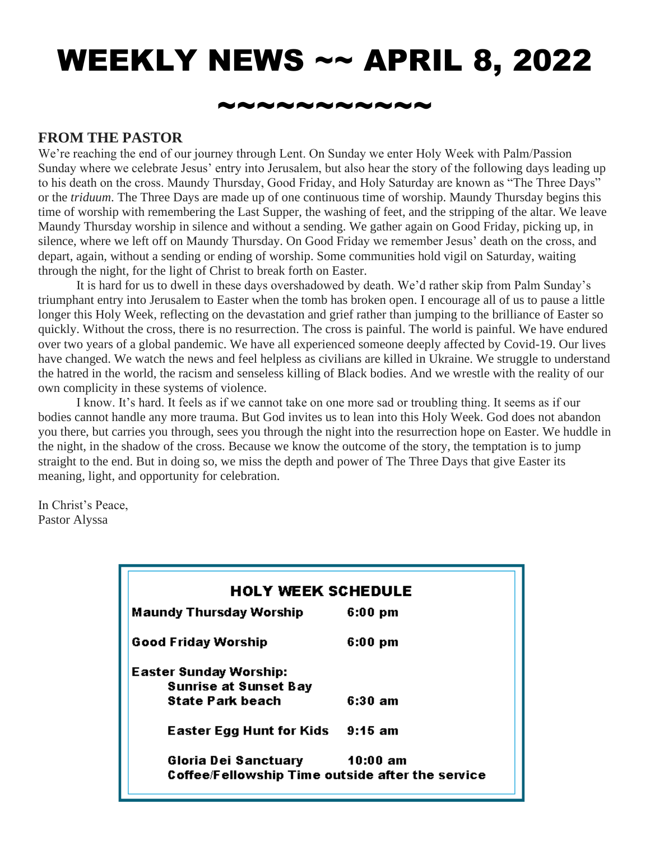# WEEKLY NEWS ~~ APRIL 8, 2022

#### \*~~~~~~~~~

#### **FROM THE PASTOR**

We're reaching the end of our journey through Lent. On Sunday we enter Holy Week with Palm/Passion Sunday where we celebrate Jesus' entry into Jerusalem, but also hear the story of the following days leading up to his death on the cross. Maundy Thursday, Good Friday, and Holy Saturday are known as "The Three Days" or the *triduum*. The Three Days are made up of one continuous time of worship. Maundy Thursday begins this time of worship with remembering the Last Supper, the washing of feet, and the stripping of the altar. We leave Maundy Thursday worship in silence and without a sending. We gather again on Good Friday, picking up, in silence, where we left off on Maundy Thursday. On Good Friday we remember Jesus' death on the cross, and depart, again, without a sending or ending of worship. Some communities hold vigil on Saturday, waiting through the night, for the light of Christ to break forth on Easter.

 It is hard for us to dwell in these days overshadowed by death. We'd rather skip from Palm Sunday's triumphant entry into Jerusalem to Easter when the tomb has broken open. I encourage all of us to pause a little longer this Holy Week, reflecting on the devastation and grief rather than jumping to the brilliance of Easter so quickly. Without the cross, there is no resurrection. The cross is painful. The world is painful. We have endured over two years of a global pandemic. We have all experienced someone deeply affected by Covid-19. Our lives have changed. We watch the news and feel helpless as civilians are killed in Ukraine. We struggle to understand the hatred in the world, the racism and senseless killing of Black bodies. And we wrestle with the reality of our own complicity in these systems of violence.

 I know. It's hard. It feels as if we cannot take on one more sad or troubling thing. It seems as if our bodies cannot handle any more trauma. But God invites us to lean into this Holy Week. God does not abandon you there, but carries you through, sees you through the night into the resurrection hope on Easter. We huddle in the night, in the shadow of the cross. Because we know the outcome of the story, the temptation is to jump straight to the end. But in doing so, we miss the depth and power of The Three Days that give Easter its meaning, light, and opportunity for celebration.

In Christ's Peace, Pastor Alyssa

| <b>HOLY WEEK SCHEDULE</b>                        |                    |
|--------------------------------------------------|--------------------|
| <b>Maundy Thursday Worship</b>                   | $6:00~\mathrm{pm}$ |
| <b>Good Friday Worship</b>                       | $6:00 \text{ pm}$  |
| <b>Easter Sunday Worship:</b>                    |                    |
| <b>Sunrise at Sunset Bay</b>                     |                    |
| <b>State Park beach</b>                          | 6:30 am            |
| Easter Egg Hunt for Kids 9:15 am                 |                    |
| Gloria Dei Sanctuary 10:00 am                    |                    |
| Coffee/Fellowship Time outside after the service |                    |
|                                                  |                    |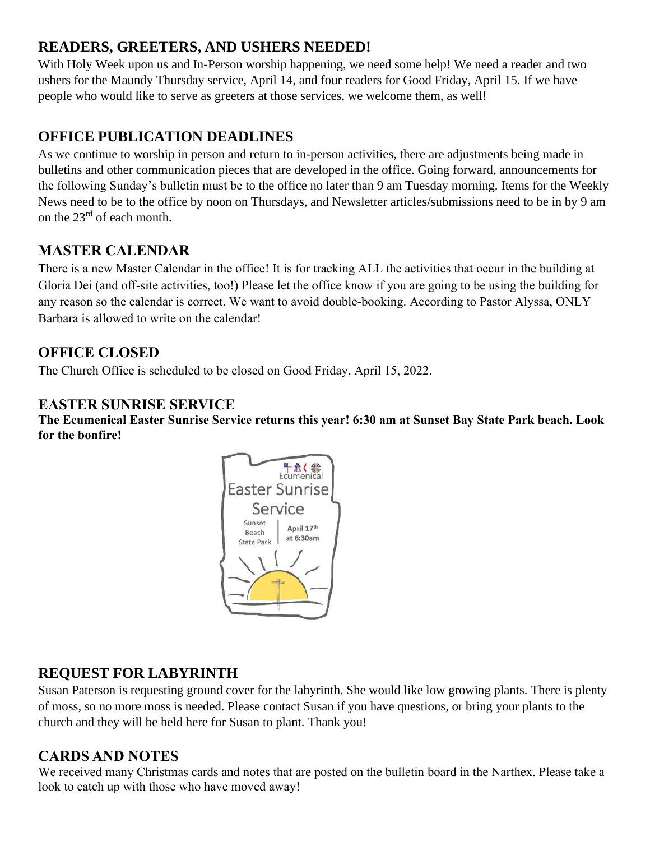### **READERS, GREETERS, AND USHERS NEEDED!**

With Holy Week upon us and In-Person worship happening, we need some help! We need a reader and two ushers for the Maundy Thursday service, April 14, and four readers for Good Friday, April 15. If we have people who would like to serve as greeters at those services, we welcome them, as well!

## **OFFICE PUBLICATION DEADLINES**

As we continue to worship in person and return to in-person activities, there are adjustments being made in bulletins and other communication pieces that are developed in the office. Going forward, announcements for the following Sunday's bulletin must be to the office no later than 9 am Tuesday morning. Items for the Weekly News need to be to the office by noon on Thursdays, and Newsletter articles/submissions need to be in by 9 am on the 23rd of each month.

#### **MASTER CALENDAR**

There is a new Master Calendar in the office! It is for tracking ALL the activities that occur in the building at Gloria Dei (and off-site activities, too!) Please let the office know if you are going to be using the building for any reason so the calendar is correct. We want to avoid double-booking. According to Pastor Alyssa, ONLY Barbara is allowed to write on the calendar!

#### **OFFICE CLOSED**

The Church Office is scheduled to be closed on Good Friday, April 15, 2022.

#### **EASTER SUNRISE SERVICE**

**The Ecumenical Easter Sunrise Service returns this year! 6:30 am at Sunset Bay State Park beach. Look for the bonfire!** 



## **REQUEST FOR LABYRINTH**

Susan Paterson is requesting ground cover for the labyrinth. She would like low growing plants. There is plenty of moss, so no more moss is needed. Please contact Susan if you have questions, or bring your plants to the church and they will be held here for Susan to plant. Thank you!

#### **CARDS AND NOTES**

We received many Christmas cards and notes that are posted on the bulletin board in the Narthex. Please take a look to catch up with those who have moved away!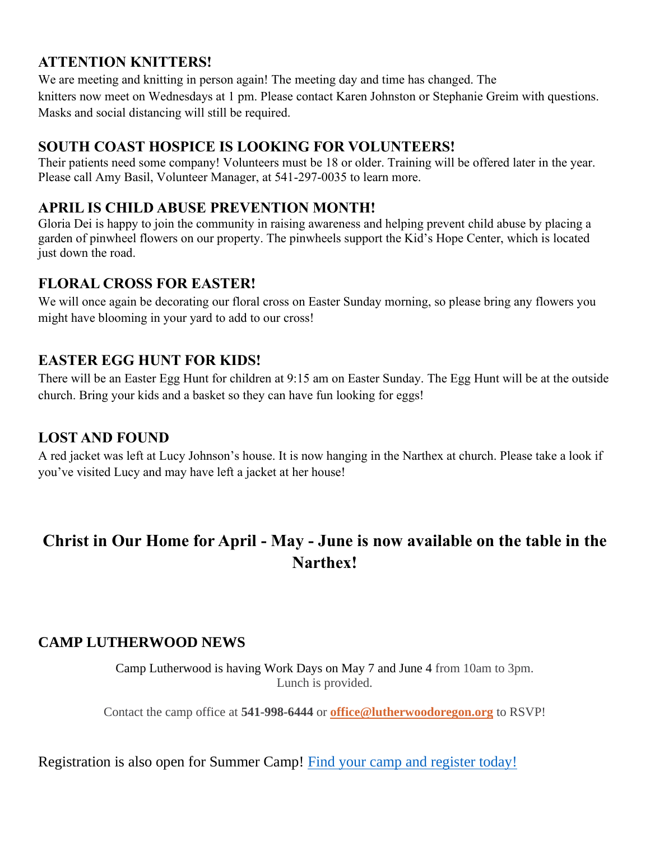#### **ATTENTION KNITTERS!**

We are meeting and knitting in person again! The meeting day and time has changed. The knitters now meet on Wednesdays at 1 pm. Please contact Karen Johnston or Stephanie Greim with questions. Masks and social distancing will still be required.

#### **SOUTH COAST HOSPICE IS LOOKING FOR VOLUNTEERS!**

Their patients need some company! Volunteers must be 18 or older. Training will be offered later in the year. Please call Amy Basil, Volunteer Manager, at 541-297-0035 to learn more.

#### **APRIL IS CHILD ABUSE PREVENTION MONTH!**

Gloria Dei is happy to join the community in raising awareness and helping prevent child abuse by placing a garden of pinwheel flowers on our property. The pinwheels support the Kid's Hope Center, which is located just down the road.

#### **FLORAL CROSS FOR EASTER!**

We will once again be decorating our floral cross on Easter Sunday morning, so please bring any flowers you might have blooming in your yard to add to our cross!

#### **EASTER EGG HUNT FOR KIDS!**

There will be an Easter Egg Hunt for children at 9:15 am on Easter Sunday. The Egg Hunt will be at the outside church. Bring your kids and a basket so they can have fun looking for eggs!

#### **LOST AND FOUND**

A red jacket was left at Lucy Johnson's house. It is now hanging in the Narthex at church. Please take a look if you've visited Lucy and may have left a jacket at her house!

## **Christ in Our Home for April - May - June is now available on the table in the Narthex!**

#### **CAMP LUTHERWOOD NEWS**

Camp Lutherwood is having Work Days on May 7 and June 4 from 10am to 3pm. Lunch is provided.

Contact the camp office at **541-998-6444** or **[office@lutherwoodoregon.org](mailto:office@lutherwoodoregon.org)** to RSVP!

Registration is also open for Summer Camp! [Find your camp and](https://r20.rs6.net/tn.jsp?f=001dmtYKospdyjyjXm3jkowSz6VIaRZAgqQpDgrVWGZev9gAN_5Q-rRKKlt0FaoPHhIYfCT_X8fT6Ft1WJ9QuSTdL8X1C8fYDTUb51zgj-XMO3R2jih819CZ0DJyPOLxGGD9BvJX2v5G0GMlAbGCAcCzSkeYPrb8Fw5BADZP4qiJN0=&c=yqK2lPsqPzvirJbPqp3pFA9wBR2sXaqWMu_eCRWrYU6DKGLbMyp4Ig==&ch=CQrLUfJBZCCA4VChOn8NdfjQ1RwhhZMp2aJ4vhZkl3VMnNX6RaJBzg==) register today!